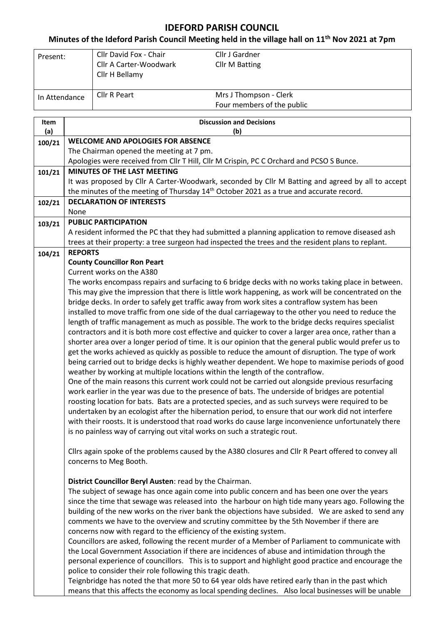# **IDEFORD PARISH COUNCIL**

#### **Minutes of the Ideford Parish Council Meeting held in the village hall on 11 th Nov 2021 at 7pm**

| Present:                                       |                                                                                                   | Cllr David Fox - Chair<br>Cllr J Gardner                                                            |                        |  |  |  |  |
|------------------------------------------------|---------------------------------------------------------------------------------------------------|-----------------------------------------------------------------------------------------------------|------------------------|--|--|--|--|
|                                                |                                                                                                   | Cllr A Carter-Woodwark                                                                              | <b>Cllr M Batting</b>  |  |  |  |  |
|                                                |                                                                                                   | Cllr H Bellamy                                                                                      |                        |  |  |  |  |
|                                                |                                                                                                   |                                                                                                     |                        |  |  |  |  |
| In Attendance                                  |                                                                                                   | Cllr R Peart                                                                                        | Mrs J Thompson - Clerk |  |  |  |  |
|                                                |                                                                                                   | Four members of the public                                                                          |                        |  |  |  |  |
| <b>Discussion and Decisions</b><br><b>Item</b> |                                                                                                   |                                                                                                     |                        |  |  |  |  |
| (a)                                            |                                                                                                   | (b)                                                                                                 |                        |  |  |  |  |
| 100/21                                         |                                                                                                   | <b>WELCOME AND APOLOGIES FOR ABSENCE</b>                                                            |                        |  |  |  |  |
|                                                |                                                                                                   | The Chairman opened the meeting at 7 pm.                                                            |                        |  |  |  |  |
|                                                |                                                                                                   | Apologies were received from Cllr T Hill, Cllr M Crispin, PC C Orchard and PCSO S Bunce.            |                        |  |  |  |  |
| 101/21                                         | <b>MINUTES OF THE LAST MEETING</b>                                                                |                                                                                                     |                        |  |  |  |  |
|                                                | It was proposed by Cllr A Carter-Woodwark, seconded by Cllr M Batting and agreed by all to accept |                                                                                                     |                        |  |  |  |  |
|                                                |                                                                                                   | the minutes of the meeting of Thursday 14 <sup>th</sup> October 2021 as a true and accurate record. |                        |  |  |  |  |
| 102/21                                         | <b>DECLARATION OF INTERESTS</b>                                                                   |                                                                                                     |                        |  |  |  |  |
|                                                | <b>None</b>                                                                                       |                                                                                                     |                        |  |  |  |  |
| 103/21                                         | <b>PUBLIC PARTICIPATION</b>                                                                       |                                                                                                     |                        |  |  |  |  |

A resident informed the PC that they had submitted a planning application to remove diseased ash trees at their property: a tree surgeon had inspected the trees and the resident plans to replant.

### **104/21 REPORTS**

#### **County Councillor Ron Peart**

Current works on the A380

The works encompass repairs and surfacing to 6 bridge decks with no works taking place in between. This may give the impression that there is little work happening, as work will be concentrated on the bridge decks. In order to safely get traffic away from work sites a contraflow system has been installed to move traffic from one side of the dual carriageway to the other you need to reduce the length of traffic management as much as possible. The work to the bridge decks requires specialist contractors and it is both more cost effective and quicker to cover a larger area once, rather than a shorter area over a longer period of time. It is our opinion that the general public would prefer us to get the works achieved as quickly as possible to reduce the amount of disruption. The type of work being carried out to bridge decks is highly weather dependent. We hope to maximise periods of good weather by working at multiple locations within the length of the contraflow.

One of the main reasons this current work could not be carried out alongside previous resurfacing work earlier in the year was due to the presence of bats. The underside of bridges are potential roosting location for bats. Bats are a protected species, and as such surveys were required to be undertaken by an ecologist after the hibernation period, to ensure that our work did not interfere with their roosts. It is understood that road works do cause large inconvenience unfortunately there is no painless way of carrying out vital works on such a strategic rout.

Cllrs again spoke of the problems caused by the A380 closures and Cllr R Peart offered to convey all concerns to Meg Booth.

**District Councillor Beryl Austen**: read by the Chairman.

The subject of sewage has once again come into public concern and has been one over the years since the time that sewage was released into the harbour on high tide many years ago. Following the building of the new works on the river bank the objections have subsided. We are asked to send any comments we have to the overview and scrutiny committee by the 5th November if there are concerns now with regard to the efficiency of the existing system.

Councillors are asked, following the recent murder of a Member of Parliament to communicate with the Local Government Association if there are incidences of abuse and intimidation through the personal experience of councillors. This is to support and highlight good practice and encourage the police to consider their role following this tragic death.

Teignbridge has noted the that more 50 to 64 year olds have retired early than in the past which means that this affects the economy as local spending declines. Also local businesses will be unable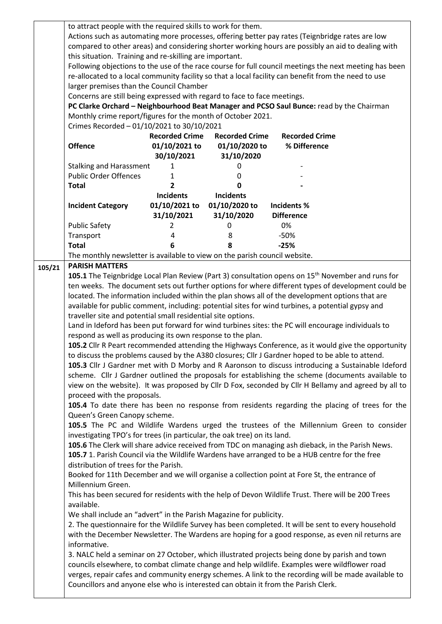to attract people with the required skills to work for them.

Actions such as automating more processes, offering better pay rates (Teignbridge rates are low compared to other areas) and considering shorter working hours are possibly an aid to dealing with this situation. Training and re-skilling are important.

Following objections to the use of the race course for full council meetings the next meeting has been re-allocated to a local community facility so that a local facility can benefit from the need to use larger premises than the Council Chamber

Concerns are still being expressed with regard to face to face meetings.

**PC Clarke Orchard – Neighbourhood Beat Manager and PCSO Saul Bunce:** read by the Chairman Monthly crime report/figures for the month of October 2021.

Crimes Recorded – 01/10/2021 to 30/10/2021

| 30/10/2021                                      | 31/10/2020                                      | % Difference                                                               |
|-------------------------------------------------|-------------------------------------------------|----------------------------------------------------------------------------|
|                                                 |                                                 |                                                                            |
|                                                 |                                                 |                                                                            |
|                                                 |                                                 |                                                                            |
| <b>Incidents</b><br>01/10/2021 to<br>31/10/2021 | <b>Incidents</b><br>01/10/2020 to<br>31/10/2020 | Incidents %<br><b>Difference</b>                                           |
| 2                                               |                                                 | 0%                                                                         |
| 4                                               | 8                                               | -50%                                                                       |
| 6                                               | 8                                               | $-25%$                                                                     |
|                                                 |                                                 | The monthly newsletter is available to view on the parish council website. |

## **105/21 PARISH MATTERS**

105.1 The Teignbridge Local Plan Review (Part 3) consultation opens on 15<sup>th</sup> November and runs for ten weeks. The document sets out further options for where different types of development could be located. The information included within the plan shows all of the development options that are available for public comment, including: potential sites for wind turbines, a potential gypsy and traveller site and potential small residential site options.

Land in Ideford has been put forward for wind turbines sites: the PC will encourage individuals to respond as well as producing its own response to the plan.

**105.2** Cllr R Peart recommended attending the Highways Conference, as it would give the opportunity to discuss the problems caused by the A380 closures; Cllr J Gardner hoped to be able to attend.

**105.3** Cllr J Gardner met with D Morby and R Aaronson to discuss introducing a Sustainable Ideford scheme. Cllr J Gardner outlined the proposals for establishing the scheme (documents available to view on the website). It was proposed by Cllr D Fox, seconded by Cllr H Bellamy and agreed by all to proceed with the proposals.

**105.4** To date there has been no response from residents regarding the placing of trees for the Queen's Green Canopy scheme.

**105.5** The PC and Wildlife Wardens urged the trustees of the Millennium Green to consider investigating TPO's for trees (in particular, the oak tree) on its land.

**105.6** The Clerk will share advice received from TDC on managing ash dieback, in the Parish News. **105.7** 1. Parish Council via the Wildlife Wardens have arranged to be a HUB centre for the free

distribution of trees for the Parish.

Booked for 11th December and we will organise a collection point at Fore St, the entrance of Millennium Green.

This has been secured for residents with the help of Devon Wildlife Trust. There will be 200 Trees available.

We shall include an "advert" in the Parish Magazine for publicity.

2. The questionnaire for the Wildlife Survey has been completed. It will be sent to every household with the December Newsletter. The Wardens are hoping for a good response, as even nil returns are informative.

3. NALC held a seminar on 27 October, which illustrated projects being done by parish and town councils elsewhere, to combat climate change and help wildlife. Examples were wildflower road verges, repair cafes and community energy schemes. A link to the recording will be made available to Councillors and anyone else who is interested can obtain it from the Parish Clerk.